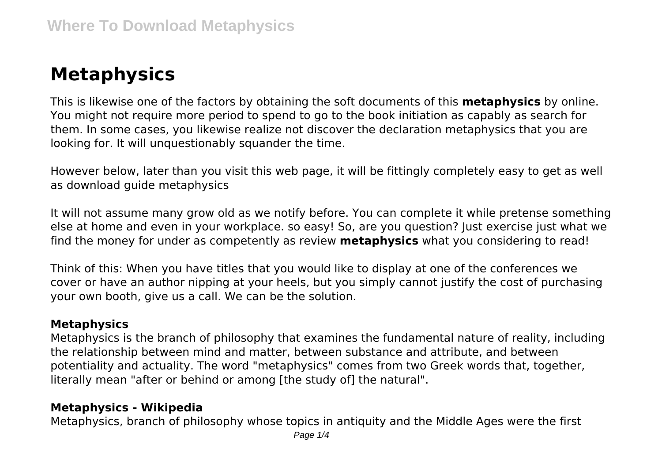# **Metaphysics**

This is likewise one of the factors by obtaining the soft documents of this **metaphysics** by online. You might not require more period to spend to go to the book initiation as capably as search for them. In some cases, you likewise realize not discover the declaration metaphysics that you are looking for. It will unquestionably squander the time.

However below, later than you visit this web page, it will be fittingly completely easy to get as well as download guide metaphysics

It will not assume many grow old as we notify before. You can complete it while pretense something else at home and even in your workplace. so easy! So, are you question? Just exercise just what we find the money for under as competently as review **metaphysics** what you considering to read!

Think of this: When you have titles that you would like to display at one of the conferences we cover or have an author nipping at your heels, but you simply cannot justify the cost of purchasing your own booth, give us a call. We can be the solution.

### **Metaphysics**

Metaphysics is the branch of philosophy that examines the fundamental nature of reality, including the relationship between mind and matter, between substance and attribute, and between potentiality and actuality. The word "metaphysics" comes from two Greek words that, together, literally mean "after or behind or among [the study of] the natural".

### **Metaphysics - Wikipedia**

Metaphysics, branch of philosophy whose topics in antiquity and the Middle Ages were the first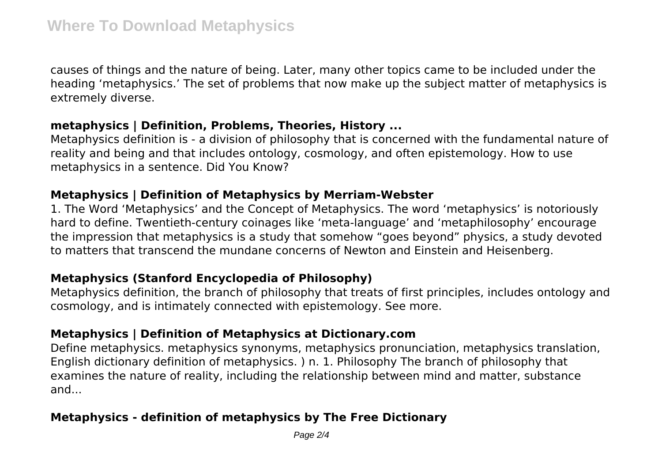causes of things and the nature of being. Later, many other topics came to be included under the heading 'metaphysics.' The set of problems that now make up the subject matter of metaphysics is extremely diverse.

#### **metaphysics | Definition, Problems, Theories, History ...**

Metaphysics definition is - a division of philosophy that is concerned with the fundamental nature of reality and being and that includes ontology, cosmology, and often epistemology. How to use metaphysics in a sentence. Did You Know?

# **Metaphysics | Definition of Metaphysics by Merriam-Webster**

1. The Word 'Metaphysics' and the Concept of Metaphysics. The word 'metaphysics' is notoriously hard to define. Twentieth-century coinages like 'meta-language' and 'metaphilosophy' encourage the impression that metaphysics is a study that somehow "goes beyond" physics, a study devoted to matters that transcend the mundane concerns of Newton and Einstein and Heisenberg.

# **Metaphysics (Stanford Encyclopedia of Philosophy)**

Metaphysics definition, the branch of philosophy that treats of first principles, includes ontology and cosmology, and is intimately connected with epistemology. See more.

# **Metaphysics | Definition of Metaphysics at Dictionary.com**

Define metaphysics. metaphysics synonyms, metaphysics pronunciation, metaphysics translation, English dictionary definition of metaphysics. ) n. 1. Philosophy The branch of philosophy that examines the nature of reality, including the relationship between mind and matter, substance and...

# **Metaphysics - definition of metaphysics by The Free Dictionary**

Page 2/4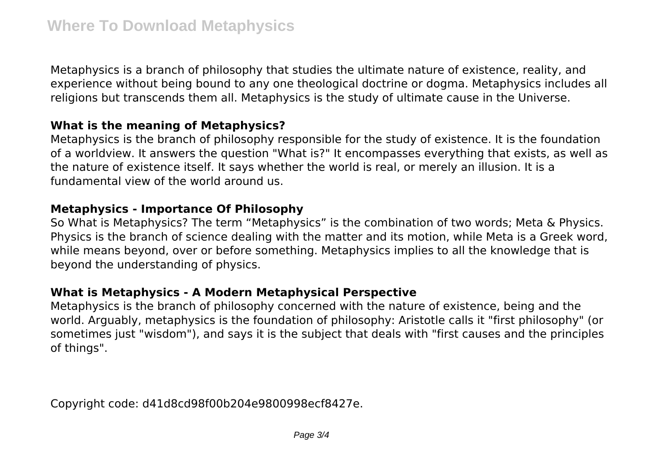Metaphysics is a branch of philosophy that studies the ultimate nature of existence, reality, and experience without being bound to any one theological doctrine or dogma. Metaphysics includes all religions but transcends them all. Metaphysics is the study of ultimate cause in the Universe.

### **What is the meaning of Metaphysics?**

Metaphysics is the branch of philosophy responsible for the study of existence. It is the foundation of a worldview. It answers the question "What is?" It encompasses everything that exists, as well as the nature of existence itself. It says whether the world is real, or merely an illusion. It is a fundamental view of the world around us.

## **Metaphysics - Importance Of Philosophy**

So What is Metaphysics? The term "Metaphysics" is the combination of two words; Meta & Physics. Physics is the branch of science dealing with the matter and its motion, while Meta is a Greek word, while means beyond, over or before something. Metaphysics implies to all the knowledge that is beyond the understanding of physics.

# **What is Metaphysics - A Modern Metaphysical Perspective**

Metaphysics is the branch of philosophy concerned with the nature of existence, being and the world. Arguably, metaphysics is the foundation of philosophy: Aristotle calls it "first philosophy" (or sometimes just "wisdom"), and says it is the subject that deals with "first causes and the principles of things".

Copyright code: d41d8cd98f00b204e9800998ecf8427e.